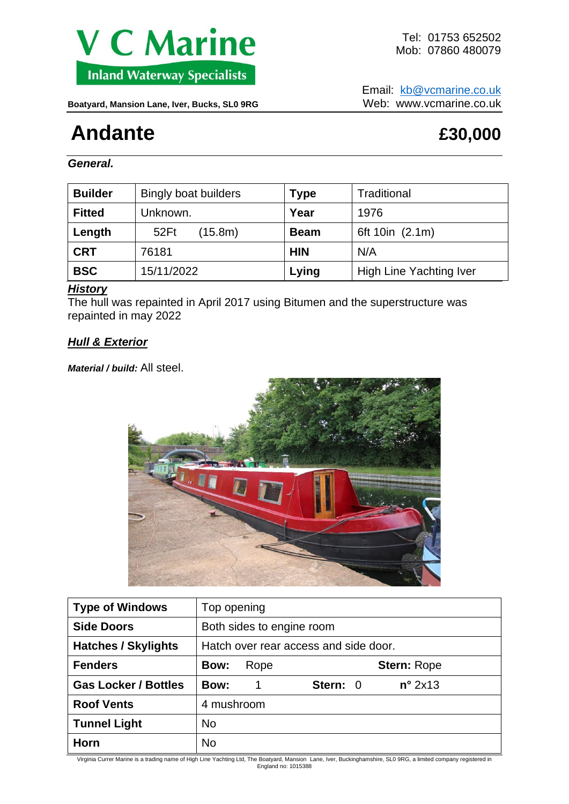

Email: [kb@vcmarine.co.uk](mailto:kb@vcmarine.co.uk) Boatyard, Mansion Lane, Iver, Bucks, SL0 9RG Web: WWW.vcmarine.co.uk

# **Andante****£30,000**

*General.*

| <b>Builder</b> | <b>Bingly boat builders</b> | <b>Type</b> | Traditional             |
|----------------|-----------------------------|-------------|-------------------------|
| <b>Fitted</b>  | Unknown.                    | Year        | 1976                    |
| Length         | (15.8m)<br>52Ft             | <b>Beam</b> | 6ft 10in (2.1m)         |
| <b>CRT</b>     | 76181                       | <b>HIN</b>  | N/A                     |
| <b>BSC</b>     | 15/11/2022                  | Lying       | High Line Yachting Iver |

## *History*

The hull was repainted in April 2017 using Bitumen and the superstructure was repainted in may 2022

## *Hull & Exterior*

*Material / build:* All steel.



| <b>Type of Windows</b>      | Top opening                           |                              |  |  |
|-----------------------------|---------------------------------------|------------------------------|--|--|
| <b>Side Doors</b>           | Both sides to engine room             |                              |  |  |
| <b>Hatches / Skylights</b>  | Hatch over rear access and side door. |                              |  |  |
| <b>Fenders</b>              | <b>Bow:</b><br>Rope                   | <b>Stern: Rope</b>           |  |  |
| <b>Gas Locker / Bottles</b> | <b>Bow:</b><br>1                      | $n^{\circ}$ 2x13<br>Stern: 0 |  |  |
| <b>Roof Vents</b>           | 4 mushroom                            |                              |  |  |
| <b>Tunnel Light</b>         | <b>No</b>                             |                              |  |  |
| Horn                        | <b>No</b>                             |                              |  |  |

Virginia Currer Marine is a trading name of High Line Yachting Ltd, The Boatyard, Mansion Lane, Iver, Buckinghamshire, SL0 9RG, a limited company registered in England no: 1015388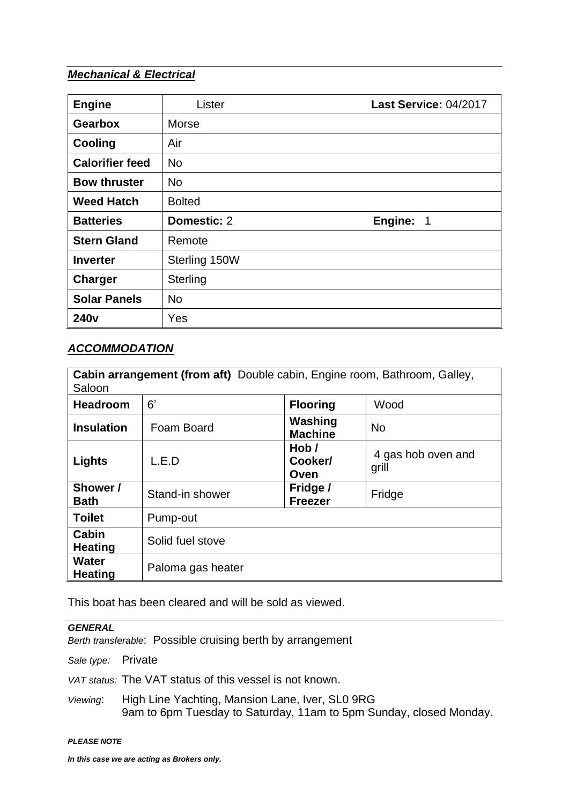# *Mechanical & Electrical*

| <b>Engine</b>          | Lister        | Last Service: 04/2017               |
|------------------------|---------------|-------------------------------------|
| <b>Gearbox</b>         | <b>Morse</b>  |                                     |
| Cooling                | Air           |                                     |
| <b>Calorifier feed</b> | <b>No</b>     |                                     |
| <b>Bow thruster</b>    | <b>No</b>     |                                     |
| <b>Weed Hatch</b>      | <b>Bolted</b> |                                     |
| <b>Batteries</b>       | Domestic: 2   | Engine:<br>$\overline{\phantom{1}}$ |
| <b>Stern Gland</b>     | Remote        |                                     |
| <b>Inverter</b>        | Sterling 150W |                                     |
| Charger                | Sterling      |                                     |
| <b>Solar Panels</b>    | <b>No</b>     |                                     |
| 240 <sub>v</sub>       | Yes           |                                     |

## *ACCOMMODATION*

| Cabin arrangement (from aft) Double cabin, Engine room, Bathroom, Galley,<br>Saloon |                   |                            |                             |  |  |  |
|-------------------------------------------------------------------------------------|-------------------|----------------------------|-----------------------------|--|--|--|
| <b>Headroom</b>                                                                     | 6'                | <b>Flooring</b>            | Wood                        |  |  |  |
| <b>Insulation</b>                                                                   | Foam Board        | Washing<br><b>Machine</b>  | <b>No</b>                   |  |  |  |
| Lights                                                                              | L.E.D             | Hob/<br>Cooker/<br>Oven    | 4 gas hob oven and<br>grill |  |  |  |
| Shower /<br><b>Bath</b>                                                             | Stand-in shower   | Fridge /<br><b>Freezer</b> | Fridge                      |  |  |  |
| <b>Toilet</b>                                                                       | Pump-out          |                            |                             |  |  |  |
| Cabin<br><b>Heating</b>                                                             | Solid fuel stove  |                            |                             |  |  |  |
| <b>Water</b><br><b>Heating</b>                                                      | Paloma gas heater |                            |                             |  |  |  |

This boat has been cleared and will be sold as viewed.

#### *GENERAL*

*Berth transferable*: Possible cruising berth by arrangement

*Sale type:* Private

*VAT status:* The VAT status of this vessel is not known.

*Viewing*: High Line Yachting, Mansion Lane, Iver, SL0 9RG 9am to 6pm Tuesday to Saturday, 11am to 5pm Sunday, closed Monday.

#### *PLEASE NOTE*